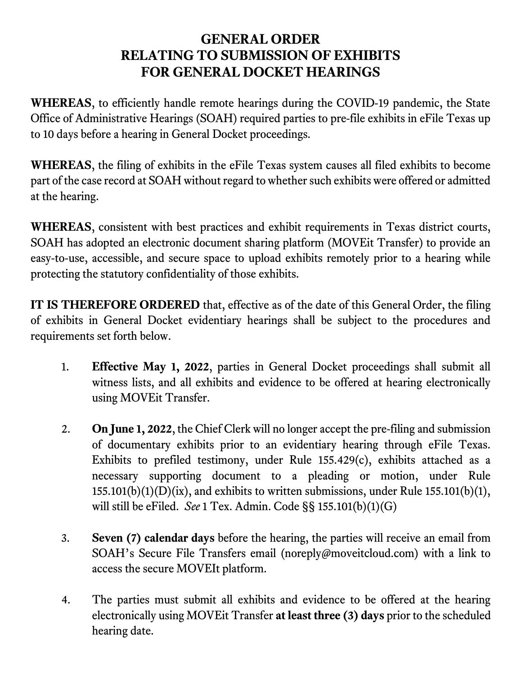## GENERAL ORDER RELATING TO SUBMISSION OF EXHIBITS FOR GENERAL DOCKET HEARINGS

WHEREAS, to efficiently handle remote hearings during the COVID-19 pandemic, the State Office of Administrative Hearings (SOAH) required parties to pre-file exhibits in eFile Texas up to 10 days before a hearing in General Docket proceedings.

WHEREAS, the filing of exhibits in the eFile Texas system causes all filed exhibits to become part of the case record at SOAH without regard to whether such exhibits were offered or admitted at the hearing.

WHEREAS, consistent with best practices and exhibit requirements in Texas district courts, SOAH has adopted an electronic document sharing platform (MOVEit Transfer) to provide an easy-to-use, accessible, and secure space to upload exhibits remotely prior to a hearing while protecting the statutory confidentiality of those exhibits.

IT IS THEREFORE ORDERED that, effective as of the date of this General Order, the filing of exhibits in General Docket evidentiary hearings shall be subject to the procedures and requirements set forth below.

- 1. Effective May 1, 2022, parties in General Docket proceedings shall submit all witness lists, and all exhibits and evidence to be offered at hearing electronically using MOVEit Transfer.
- 2. On June 1, 2022, the Chief Clerk will no longer accept the pre-filing and submission of documentary exhibits prior to an evidentiary hearing through eFile Texas. Exhibits to prefiled testimony, under Rule 155.429(c), exhibits attached as a necessary supporting document to a pleading or motion, under Rule  $155.101(b)(1)(D)(ix)$ , and exhibits to written submissions, under Rule  $155.101(b)(1)$ , will still be eFiled. See 1 Tex. Admin. Code §§ 155.101(b)(1)(G)
- 3. Seven (7) calendar days before the hearing, the parties will receive an email from SOAH's Secure File Transfers email (noreply@moveitcloud.com) with a link to access the secure MOVEIt platform.
- 4. The parties must submit all exhibits and evidence to be offered at the hearing electronically using MOVEit Transfer at least three (3) days prior to the scheduled hearing date.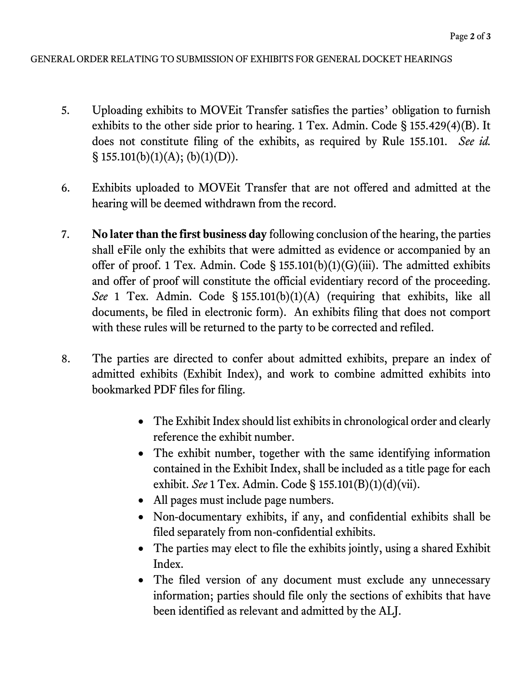## GENERAL ORDER RELATING TO SUBMISSION OF EXHIBITS FOR GENERAL DOCKET HEARINGS

- 5. Uploading exhibits to MOVEit Transfer satisfies the parties' obligation to furnish exhibits to the other side prior to hearing. 1 Tex. Admin. Code § 155.429(4)(B). It does not constitute filing of the exhibits, as required by Rule 155.101. See id.  $\S$  155.101(b)(1)(A); (b)(1)(D)).
- 6. Exhibits uploaded to MOVEit Transfer that are not offered and admitted at the hearing will be deemed withdrawn from the record.
- 7. No later than the first business day following conclusion of the hearing, the parties shall eFile only the exhibits that were admitted as evidence or accompanied by an offer of proof. 1 Tex. Admin. Code §  $155.101(b)(1)(G)(iii)$ . The admitted exhibits and offer of proof will constitute the official evidentiary record of the proceeding. See 1 Tex. Admin. Code § 155.101(b)(1)(A) (requiring that exhibits, like all documents, be filed in electronic form). An exhibits filing that does not comport with these rules will be returned to the party to be corrected and refiled.
- 8. The parties are directed to confer about admitted exhibits, prepare an index of admitted exhibits (Exhibit Index), and work to combine admitted exhibits into bookmarked PDF files for filing.
	- The Exhibit Index should list exhibits in chronological order and clearly reference the exhibit number.
	- The exhibit number, together with the same identifying information contained in the Exhibit Index, shall be included as a title page for each exhibit. See 1 Tex. Admin. Code § 155.101(B)(1)(d)(vii).
	- All pages must include page numbers.
	- Non-documentary exhibits, if any, and confidential exhibits shall be filed separately from non-confidential exhibits.
	- The parties may elect to file the exhibits jointly, using a shared Exhibit Index.
	- The filed version of any document must exclude any unnecessary information; parties should file only the sections of exhibits that have been identified as relevant and admitted by the ALJ.